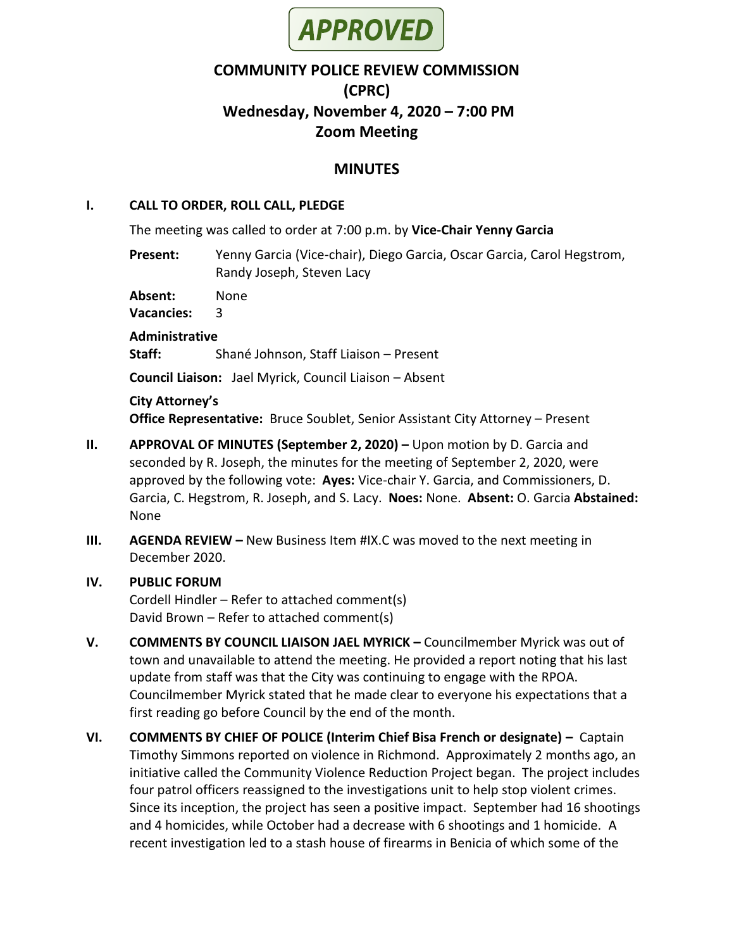

# **COMMUNITY POLICE REVIEW COMMISSION (CPRC) Wednesday, November 4, 2020 – 7:00 PM Zoom Meeting**

## **MINUTES**

#### **I. CALL TO ORDER, ROLL CALL, PLEDGE**

The meeting was called to order at 7:00 p.m. by **Vice-Chair Yenny Garcia**

**Present:** Yenny Garcia (Vice-chair), Diego Garcia, Oscar Garcia, Carol Hegstrom, Randy Joseph, Steven Lacy

**Absent:** None

**Vacancies:** 3

**Administrative**

**Staff:** Shané Johnson, Staff Liaison – Present

**Council Liaison:** Jael Myrick, Council Liaison – Absent

#### **City Attorney's**

**Office Representative:** Bruce Soublet, Senior Assistant City Attorney – Present

- **II. APPROVAL OF MINUTES (September 2, 2020) –** Upon motion by D. Garcia and seconded by R. Joseph, the minutes for the meeting of September 2, 2020, were approved by the following vote: **Ayes:** Vice-chair Y. Garcia, and Commissioners, D. Garcia, C. Hegstrom, R. Joseph, and S. Lacy. **Noes:** None. **Absent:** O. Garcia **Abstained:** None
- **III. AGENDA REVIEW –** New Business Item #IX.C was moved to the next meeting in December 2020.
- **IV. PUBLIC FORUM** Cordell Hindler – Refer to attached comment(s) David Brown – Refer to attached comment(s)
- **V. COMMENTS BY COUNCIL LIAISON JAEL MYRICK –** Councilmember Myrick was out of town and unavailable to attend the meeting. He provided a report noting that his last update from staff was that the City was continuing to engage with the RPOA. Councilmember Myrick stated that he made clear to everyone his expectations that a first reading go before Council by the end of the month.
- **VI. COMMENTS BY CHIEF OF POLICE (Interim Chief Bisa French or designate) –** Captain Timothy Simmons reported on violence in Richmond. Approximately 2 months ago, an initiative called the Community Violence Reduction Project began. The project includes four patrol officers reassigned to the investigations unit to help stop violent crimes. Since its inception, the project has seen a positive impact. September had 16 shootings and 4 homicides, while October had a decrease with 6 shootings and 1 homicide. A recent investigation led to a stash house of firearms in Benicia of which some of the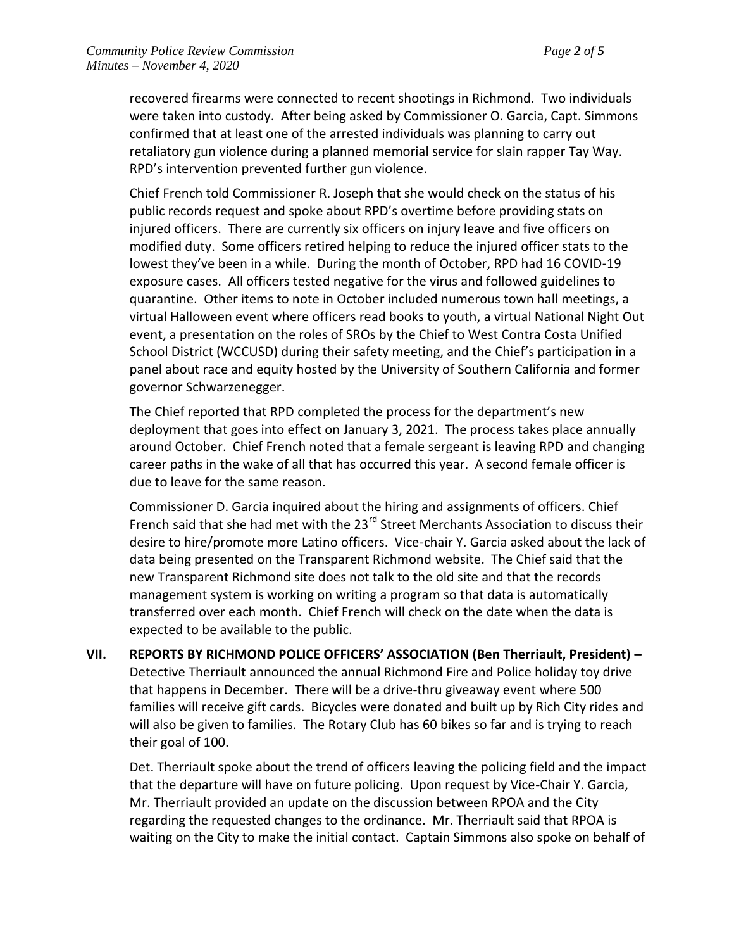recovered firearms were connected to recent shootings in Richmond. Two individuals were taken into custody. After being asked by Commissioner O. Garcia, Capt. Simmons confirmed that at least one of the arrested individuals was planning to carry out retaliatory gun violence during a planned memorial service for slain rapper Tay Way. RPD's intervention prevented further gun violence.

Chief French told Commissioner R. Joseph that she would check on the status of his public records request and spoke about RPD's overtime before providing stats on injured officers. There are currently six officers on injury leave and five officers on modified duty. Some officers retired helping to reduce the injured officer stats to the lowest they've been in a while. During the month of October, RPD had 16 COVID-19 exposure cases. All officers tested negative for the virus and followed guidelines to quarantine. Other items to note in October included numerous town hall meetings, a virtual Halloween event where officers read books to youth, a virtual National Night Out event, a presentation on the roles of SROs by the Chief to West Contra Costa Unified School District (WCCUSD) during their safety meeting, and the Chief's participation in a panel about race and equity hosted by the University of Southern California and former governor Schwarzenegger.

The Chief reported that RPD completed the process for the department's new deployment that goes into effect on January 3, 2021. The process takes place annually around October. Chief French noted that a female sergeant is leaving RPD and changing career paths in the wake of all that has occurred this year. A second female officer is due to leave for the same reason.

Commissioner D. Garcia inquired about the hiring and assignments of officers. Chief French said that she had met with the 23<sup>rd</sup> Street Merchants Association to discuss their desire to hire/promote more Latino officers. Vice-chair Y. Garcia asked about the lack of data being presented on the Transparent Richmond website. The Chief said that the new Transparent Richmond site does not talk to the old site and that the records management system is working on writing a program so that data is automatically transferred over each month. Chief French will check on the date when the data is expected to be available to the public.

**VII. REPORTS BY RICHMOND POLICE OFFICERS' ASSOCIATION (Ben Therriault, President) –** Detective Therriault announced the annual Richmond Fire and Police holiday toy drive that happens in December. There will be a drive-thru giveaway event where 500 families will receive gift cards. Bicycles were donated and built up by Rich City rides and will also be given to families. The Rotary Club has 60 bikes so far and is trying to reach their goal of 100.

Det. Therriault spoke about the trend of officers leaving the policing field and the impact that the departure will have on future policing. Upon request by Vice-Chair Y. Garcia, Mr. Therriault provided an update on the discussion between RPOA and the City regarding the requested changes to the ordinance. Mr. Therriault said that RPOA is waiting on the City to make the initial contact. Captain Simmons also spoke on behalf of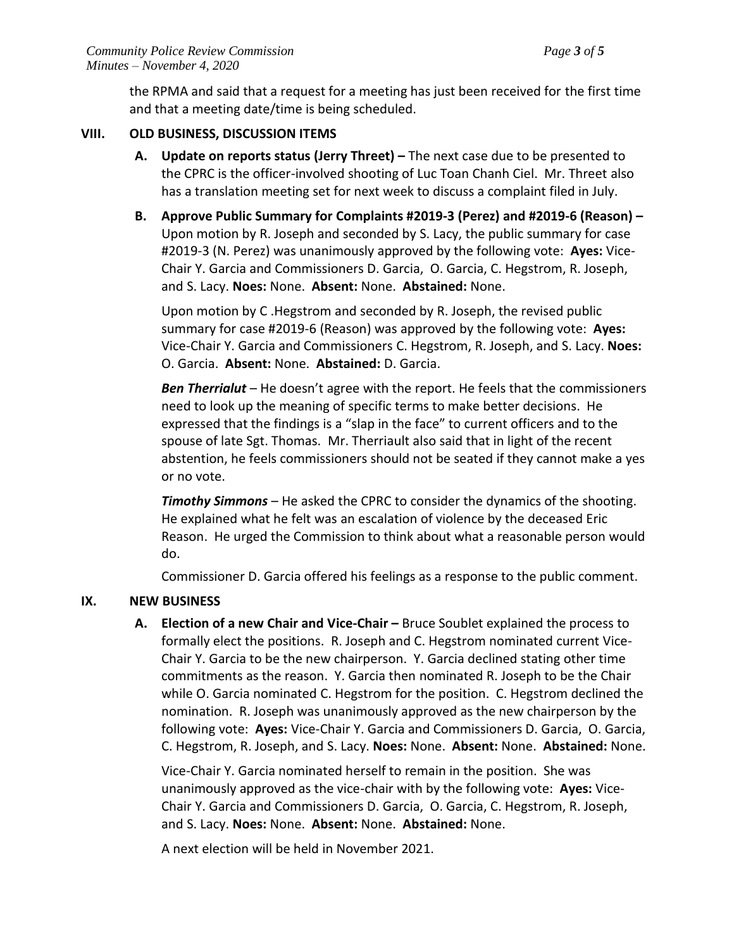the RPMA and said that a request for a meeting has just been received for the first time and that a meeting date/time is being scheduled.

#### **VIII. OLD BUSINESS, DISCUSSION ITEMS**

- **A. Update on reports status (Jerry Threet) –** The next case due to be presented to the CPRC is the officer-involved shooting of Luc Toan Chanh Ciel. Mr. Threet also has a translation meeting set for next week to discuss a complaint filed in July.
- **B. Approve Public Summary for Complaints #2019-3 (Perez) and #2019-6 (Reason) –** Upon motion by R. Joseph and seconded by S. Lacy, the public summary for case #2019-3 (N. Perez) was unanimously approved by the following vote: **Ayes:** Vice-Chair Y. Garcia and Commissioners D. Garcia, O. Garcia, C. Hegstrom, R. Joseph, and S. Lacy. **Noes:** None. **Absent:** None. **Abstained:** None.

Upon motion by C .Hegstrom and seconded by R. Joseph, the revised public summary for case #2019-6 (Reason) was approved by the following vote: **Ayes:** Vice-Chair Y. Garcia and Commissioners C. Hegstrom, R. Joseph, and S. Lacy. **Noes:** O. Garcia. **Absent:** None. **Abstained:** D. Garcia.

*Ben Therrialut* – He doesn't agree with the report. He feels that the commissioners need to look up the meaning of specific terms to make better decisions. He expressed that the findings is a "slap in the face" to current officers and to the spouse of late Sgt. Thomas. Mr. Therriault also said that in light of the recent abstention, he feels commissioners should not be seated if they cannot make a yes or no vote.

*Timothy Simmons* – He asked the CPRC to consider the dynamics of the shooting. He explained what he felt was an escalation of violence by the deceased Eric Reason. He urged the Commission to think about what a reasonable person would do.

Commissioner D. Garcia offered his feelings as a response to the public comment.

## **IX. NEW BUSINESS**

**A. Election of a new Chair and Vice-Chair –** Bruce Soublet explained the process to formally elect the positions. R. Joseph and C. Hegstrom nominated current Vice-Chair Y. Garcia to be the new chairperson. Y. Garcia declined stating other time commitments as the reason. Y. Garcia then nominated R. Joseph to be the Chair while O. Garcia nominated C. Hegstrom for the position. C. Hegstrom declined the nomination. R. Joseph was unanimously approved as the new chairperson by the following vote: **Ayes:** Vice-Chair Y. Garcia and Commissioners D. Garcia, O. Garcia, C. Hegstrom, R. Joseph, and S. Lacy. **Noes:** None. **Absent:** None. **Abstained:** None.

Vice-Chair Y. Garcia nominated herself to remain in the position. She was unanimously approved as the vice-chair with by the following vote: **Ayes:** Vice-Chair Y. Garcia and Commissioners D. Garcia, O. Garcia, C. Hegstrom, R. Joseph, and S. Lacy. **Noes:** None. **Absent:** None. **Abstained:** None.

A next election will be held in November 2021.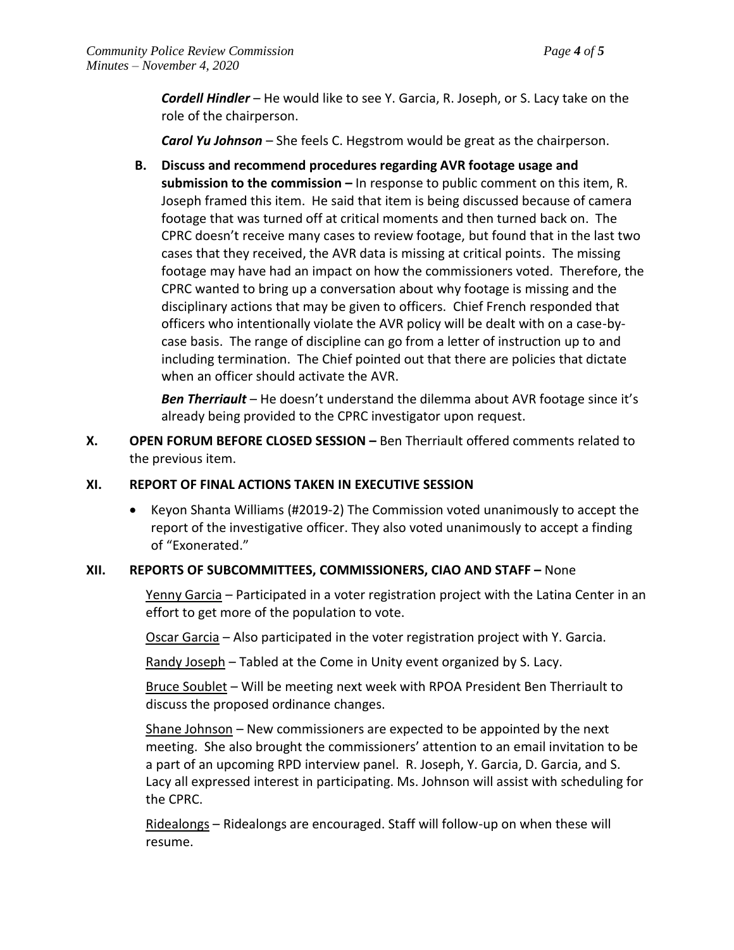*Cordell Hindler* – He would like to see Y. Garcia, R. Joseph, or S. Lacy take on the role of the chairperson.

*Carol Yu Johnson* – She feels C. Hegstrom would be great as the chairperson.

**B. Discuss and recommend procedures regarding AVR footage usage and submission to the commission –** In response to public comment on this item, R. Joseph framed this item. He said that item is being discussed because of camera footage that was turned off at critical moments and then turned back on. The CPRC doesn't receive many cases to review footage, but found that in the last two cases that they received, the AVR data is missing at critical points. The missing footage may have had an impact on how the commissioners voted. Therefore, the CPRC wanted to bring up a conversation about why footage is missing and the disciplinary actions that may be given to officers.Chief French responded that officers who intentionally violate the AVR policy will be dealt with on a case-bycase basis. The range of discipline can go from a letter of instruction up to and including termination. The Chief pointed out that there are policies that dictate when an officer should activate the AVR.

*Ben Therriault* – He doesn't understand the dilemma about AVR footage since it's already being provided to the CPRC investigator upon request.

**X. OPEN FORUM BEFORE CLOSED SESSION –** Ben Therriault offered comments related to the previous item.

#### **XI. REPORT OF FINAL ACTIONS TAKEN IN EXECUTIVE SESSION**

 Keyon Shanta Williams (#2019-2) The Commission voted unanimously to accept the report of the investigative officer. They also voted unanimously to accept a finding of "Exonerated."

#### **XII. REPORTS OF SUBCOMMITTEES, COMMISSIONERS, CIAO AND STAFF –** None

Yenny Garcia – Participated in a voter registration project with the Latina Center in an effort to get more of the population to vote.

Oscar Garcia – Also participated in the voter registration project with Y. Garcia.

Randy Joseph – Tabled at the Come in Unity event organized by S. Lacy.

Bruce Soublet – Will be meeting next week with RPOA President Ben Therriault to discuss the proposed ordinance changes.

Shane Johnson – New commissioners are expected to be appointed by the next meeting. She also brought the commissioners' attention to an email invitation to be a part of an upcoming RPD interview panel. R. Joseph, Y. Garcia, D. Garcia, and S. Lacy all expressed interest in participating. Ms. Johnson will assist with scheduling for the CPRC.

Ridealongs – Ridealongs are encouraged. Staff will follow-up on when these will resume.